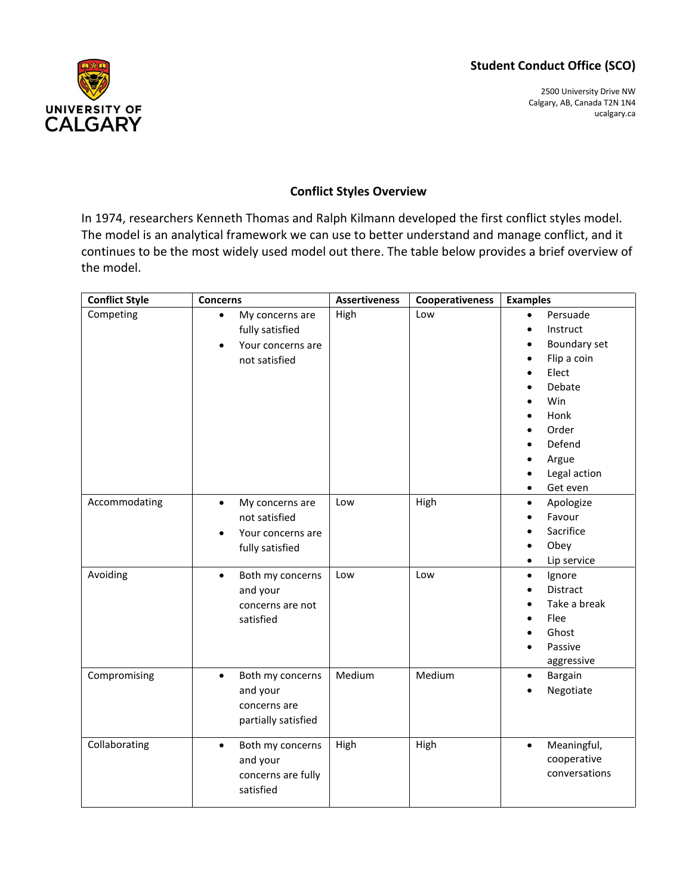## **Student Conduct Office (SCO)**



2500 University Drive NW Calgary, AB, Canada T2N 1N4 ucalgary.ca

## **Conflict Styles Overview**

In 1974, researchers Kenneth Thomas and Ralph Kilmann developed the first conflict styles model. The model is an analytical framework we can use to better understand and manage conflict, and it continues to be the most widely used model out there. The table below provides a brief overview of the model.

| <b>Conflict Style</b> | <b>Concerns</b>                                                                                    | <b>Assertiveness</b> | <b>Cooperativeness</b> | <b>Examples</b>                                                                                                                                                                                                                                                                                           |
|-----------------------|----------------------------------------------------------------------------------------------------|----------------------|------------------------|-----------------------------------------------------------------------------------------------------------------------------------------------------------------------------------------------------------------------------------------------------------------------------------------------------------|
| Competing             | My concerns are<br>$\bullet$<br>fully satisfied<br>Your concerns are<br>$\bullet$<br>not satisfied | High                 | Low                    | Persuade<br>$\bullet$<br>Instruct<br>$\bullet$<br>Boundary set<br>$\bullet$<br>Flip a coin<br>$\bullet$<br>Elect<br>$\bullet$<br>Debate<br>Win<br>$\bullet$<br>Honk<br>$\bullet$<br>Order<br>$\bullet$<br>Defend<br>$\bullet$<br>Argue<br>$\bullet$<br>Legal action<br>$\bullet$<br>Get even<br>$\bullet$ |
| Accommodating         | My concerns are<br>$\bullet$<br>not satisfied<br>Your concerns are<br>$\bullet$<br>fully satisfied | Low                  | High                   | Apologize<br>$\bullet$<br>Favour<br>Sacrifice<br>$\bullet$<br>Obey<br>$\bullet$<br>Lip service<br>$\bullet$                                                                                                                                                                                               |
| Avoiding              | Both my concerns<br>$\bullet$<br>and your<br>concerns are not<br>satisfied                         | Low                  | Low                    | Ignore<br>$\bullet$<br><b>Distract</b><br>$\bullet$<br>Take a break<br>$\bullet$<br>Flee<br>Ghost<br>$\bullet$<br>Passive<br>$\bullet$<br>aggressive                                                                                                                                                      |
| Compromising          | Both my concerns<br>$\bullet$<br>and your<br>concerns are<br>partially satisfied                   | Medium               | Medium                 | Bargain<br>$\bullet$<br>Negotiate                                                                                                                                                                                                                                                                         |
| Collaborating         | Both my concerns<br>$\bullet$<br>and your<br>concerns are fully<br>satisfied                       | High                 | High                   | Meaningful,<br>$\bullet$<br>cooperative<br>conversations                                                                                                                                                                                                                                                  |